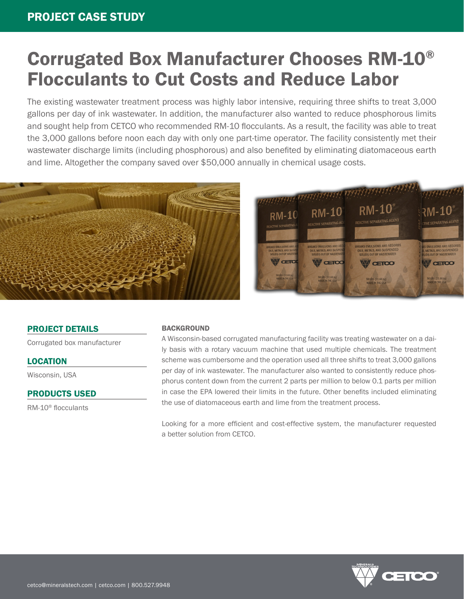# Corrugated Box Manufacturer Chooses RM-10® Flocculants to Cut Costs and Reduce Labor

The existing wastewater treatment process was highly labor intensive, requiring three shifts to treat 3,000 gallons per day of ink wastewater. In addition, the manufacturer also wanted to reduce phosphorous limits and sought help from CETCO who recommended RM-10 flocculants. As a result, the facility was able to treat the 3,000 gallons before noon each day with only one part-time operator. The facility consistently met their wastewater discharge limits (including phosphorous) and also benefited by eliminating diatomaceous earth and lime. Altogether the company saved over \$50,000 annually in chemical usage costs.





PROJECT DETAILS

Corrugated box manufacturer

### LOCATION

Wisconsin, USA

PRODUCTS USED

RM-10® flocculants

#### **BACKGROUND**

A Wisconsin-based corrugated manufacturing facility was treating wastewater on a daily basis with a rotary vacuum machine that used multiple chemicals. The treatment scheme was cumbersome and the operation used all three shifts to treat 3,000 gallons per day of ink wastewater. The manufacturer also wanted to consistently reduce phosphorus content down from the current 2 parts per million to below 0.1 parts per million in case the EPA lowered their limits in the future. Other benefits included eliminating the use of diatomaceous earth and lime from the treatment process.

Looking for a more efficient and cost-effective system, the manufacturer requested a better solution from CETCO.

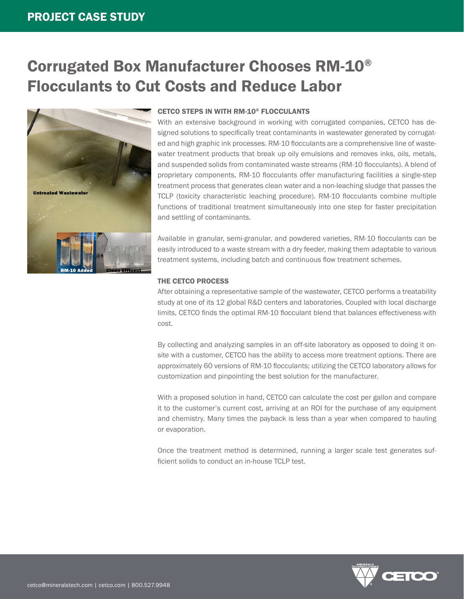## Corrugated Box Manufacturer Chooses RM-10® Flocculants to Cut Costs and Reduce Labor



#### CETCO STEPS IN WITH RM-10® FLOCCULANTS

With an extensive background in working with corrugated companies, CETCO has designed solutions to specifically treat contaminants in wastewater generated by corrugated and high graphic ink processes. RM-10 flocculants are a comprehensive line of wastewater treatment products that break up oily emulsions and removes inks, oils, metals, and suspended solids from contaminated waste streams (RM-10 flocculants). A blend of proprietary components, RM-10 flocculants offer manufacturing facilities a single-step treatment process that generates clean water and a non-leaching sludge that passes the TCLP (toxicity characteristic leaching procedure). RM-10 flocculants combine multiple functions of traditional treatment simultaneously into one step for faster precipitation and settling of contaminants.

Available in granular, semi-granular, and powdered varieties, RM-10 flocculants can be easily introduced to a waste stream with a dry feeder, making them adaptable to various treatment systems, including batch and continuous flow treatment schemes.

#### THE CETCO PROCESS

After obtaining a representative sample of the wastewater, CETCO performs a treatability study at one of its 12 global R&D centers and laboratories. Coupled with local discharge limits, CETCO finds the optimal RM-10 flocculant blend that balances effectiveness with cost.

By collecting and analyzing samples in an off-site laboratory as opposed to doing it onsite with a customer, CETCO has the ability to access more treatment options. There are approximately 60 versions of RM-10 flocculants; utilizing the CETCO laboratory allows for customization and pinpointing the best solution for the manufacturer.

With a proposed solution in hand, CETCO can calculate the cost per gallon and compare it to the customer's current cost, arriving at an ROI for the purchase of any equipment and chemistry. Many times the payback is less than a year when compared to hauling or evaporation.

Once the treatment method is determined, running a larger scale test generates sufficient solids to conduct an in-house TCLP test.